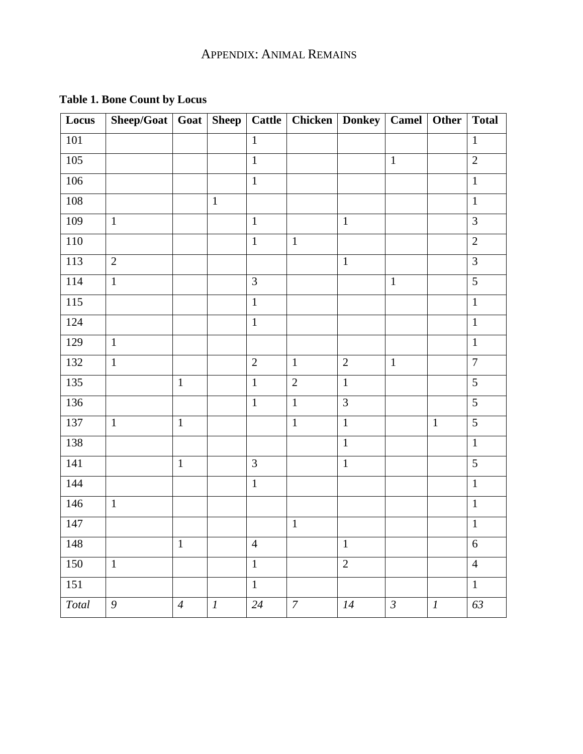| Locus   | Sheep/Goat $\vert$ Goat $\vert$ |                | Sheep    |                | Cattle   Chicken   Donkey   Camel   Other |                |                |                  | <b>Total</b>   |
|---------|---------------------------------|----------------|----------|----------------|-------------------------------------------|----------------|----------------|------------------|----------------|
| 101     |                                 |                |          | $\mathbf{1}$   |                                           |                |                |                  | $\mathbf{1}$   |
| 105     |                                 |                |          | $\overline{1}$ |                                           |                | $\mathbf{1}$   |                  | $\overline{2}$ |
| $106\,$ |                                 |                |          | $\mathbf{1}$   |                                           |                |                |                  | $\mathbf{1}$   |
| $108\,$ |                                 |                | $1\,$    |                |                                           |                |                |                  | $\mathbf{1}$   |
| 109     | $\mathbf{1}$                    |                |          | $\mathbf{1}$   |                                           | $\mathbf{1}$   |                |                  | $\overline{3}$ |
| 110     |                                 |                |          | $\mathbf{1}$   | $\mathbf{1}$                              |                |                |                  | $\overline{2}$ |
| 113     | $\overline{2}$                  |                |          |                |                                           | $\mathbf{1}$   |                |                  | 3              |
| 114     | $\mathbf{1}$                    |                |          | 3              |                                           |                | $\mathbf{1}$   |                  | 5              |
| 115     |                                 |                |          | $\mathbf{1}$   |                                           |                |                |                  | $\mathbf 1$    |
| 124     |                                 |                |          | $\mathbf{1}$   |                                           |                |                |                  | $\mathbf{1}$   |
| 129     | $\mathbf{1}$                    |                |          |                |                                           |                |                |                  | $\mathbf{1}$   |
| 132     | $\mathbf{1}$                    |                |          | $\overline{2}$ | $\mathbf{1}$                              | $\overline{2}$ | $\mathbf{1}$   |                  | $\overline{7}$ |
| 135     |                                 | $\mathbf 1$    |          | $\mathbf{1}$   | $\sqrt{2}$                                | $1\,$          |                |                  | 5              |
| 136     |                                 |                |          | $\mathbf{1}$   | $\mathbf{1}$                              | 3              |                |                  | 5              |
| 137     | $\mathbf{1}$                    | $\mathbf 1$    |          |                | $\mathbf{1}$                              | $\mathbf 1$    |                | $\mathbf{1}$     | $\overline{5}$ |
| 138     |                                 |                |          |                |                                           | $\mathbf{1}$   |                |                  | $\,1$          |
| 141     |                                 | $\mathbf 1$    |          | 3              |                                           | $\mathbf 1$    |                |                  | 5              |
| 144     |                                 |                |          | $\mathbf{1}$   |                                           |                |                |                  | $\mathbf{1}$   |
| 146     | $\mathbf{1}$                    |                |          |                |                                           |                |                |                  | $\mathbf{1}$   |
| 147     |                                 |                |          |                | $\mathbf 1$                               |                |                |                  | $\mathbf 1$    |
| 148     |                                 | $\mathbf{1}$   |          | $\overline{4}$ |                                           | $\mathbf{1}$   |                |                  | 6              |
| 150     | $\mathbf{1}$                    |                |          | $\mathbf{1}$   |                                           | $\overline{2}$ |                |                  | $\overline{4}$ |
| 151     |                                 |                |          | $\mathbf{1}$   |                                           |                |                |                  | $\mathbf{1}$   |
| Total   | $\mathfrak g$                   | $\overline{4}$ | $\cal I$ | 24             | $\overline{7}$                            | 14             | $\mathfrak{Z}$ | $\boldsymbol{l}$ | 63             |

## **Table 1. Bone Count by Locus**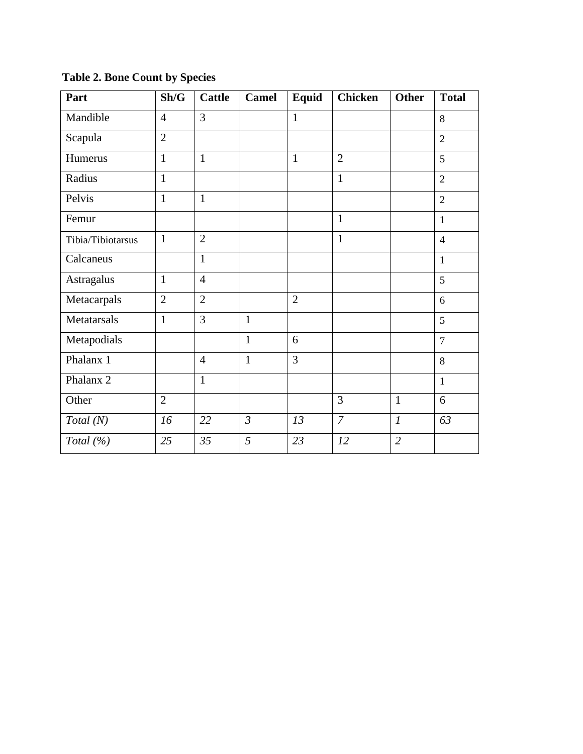**Table 2. Bone Count by Species**

| Part                 | Sh/G           | <b>Cattle</b>  | <b>Camel</b>   | Equid          | <b>Chicken</b> | <b>Other</b>   | <b>Total</b>   |
|----------------------|----------------|----------------|----------------|----------------|----------------|----------------|----------------|
| Mandible             | $\overline{4}$ | 3              |                | $\mathbf{1}$   |                |                | 8              |
| Scapula              | $\overline{2}$ |                |                |                |                |                | $\overline{2}$ |
| Humerus              | $\mathbf{1}$   | $\mathbf{1}$   |                | $\mathbf{1}$   | $\overline{2}$ |                | 5              |
| Radius               | $\mathbf{1}$   |                |                |                | $\mathbf{1}$   |                | $\overline{2}$ |
| Pelvis               | $\mathbf{1}$   | $\mathbf{1}$   |                |                |                |                | $\overline{2}$ |
| Femur                |                |                |                |                | $\mathbf{1}$   |                | $\mathbf{1}$   |
| Tibia/Tibiotarsus    | $\mathbf{1}$   | $\overline{2}$ |                |                | $\mathbf{1}$   |                | $\overline{4}$ |
| Calcaneus            |                | $\mathbf{1}$   |                |                |                |                | $\mathbf{1}$   |
| Astragalus           | $\mathbf{1}$   | $\overline{4}$ |                |                |                |                | 5              |
| Metacarpals          | $\overline{2}$ | $\overline{2}$ |                | $\overline{2}$ |                |                | 6              |
| Metatarsals          | $\mathbf{1}$   | 3              | $\mathbf{1}$   |                |                |                | 5              |
| Metapodials          |                |                | $\mathbf{1}$   | 6              |                |                | $\overline{7}$ |
| Phalanx 1            |                | $\overline{4}$ | $\mathbf{1}$   | 3              |                |                | 8              |
| Phalanx <sub>2</sub> |                | $\mathbf{1}$   |                |                |                |                | $\mathbf{1}$   |
| Other                | $\overline{2}$ |                |                |                | 3              | $\mathbf{1}$   | 6              |
| Total(N)             | 16             | 22             | $\mathfrak{Z}$ | 13             | $\overline{7}$ | $\mathfrak{1}$ | 63             |
| Total $(\%)$         | 25             | 35             | 5              | 23             | 12             | $\overline{2}$ |                |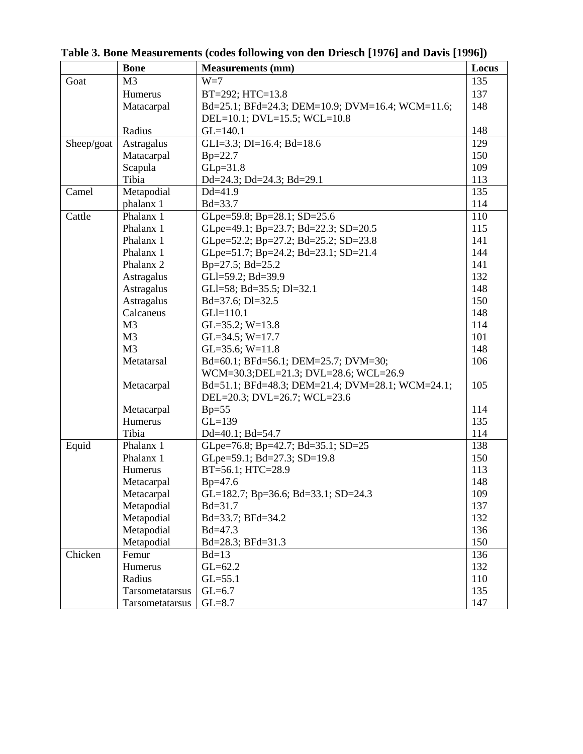|            | <b>Bone</b>          | <b>Measurements (mm)</b>                         | Locus |
|------------|----------------------|--------------------------------------------------|-------|
| Goat       | M <sub>3</sub>       | $W=7$                                            | 135   |
|            | Humerus              | BT=292; HTC=13.8                                 | 137   |
|            | Matacarpal           | Bd=25.1; BFd=24.3; DEM=10.9; DVM=16.4; WCM=11.6; | 148   |
|            |                      | DEL=10.1; DVL=15.5; WCL=10.8                     |       |
|            | Radius               | $GL=140.1$                                       | 148   |
| Sheep/goat | Astragalus           | GLI=3.3; DI=16.4; Bd=18.6                        | 129   |
|            | Matacarpal           | $Bp=22.7$                                        | 150   |
|            | Scapula              | $GLp=31.8$                                       | 109   |
|            | Tibia                | Dd=24.3; Dd=24.3; Bd=29.1                        | 113   |
| Camel      | Metapodial           | $Dd=41.9$                                        | 135   |
|            | phalanx 1            | $Bd = 33.7$                                      | 114   |
| Cattle     | Phalanx 1            | GLpe=59.8; Bp=28.1; SD=25.6                      | 110   |
|            | Phalanx 1            | GLpe=49.1; Bp=23.7; Bd=22.3; SD=20.5             | 115   |
|            | Phalanx 1            | GLpe=52.2; Bp=27.2; Bd=25.2; SD=23.8             | 141   |
|            | Phalanx 1            | GLpe=51.7; Bp=24.2; Bd=23.1; SD=21.4             | 144   |
|            | Phalanx <sub>2</sub> | Bp=27.5; Bd=25.2                                 | 141   |
|            | Astragalus           | GLI=59.2; Bd=39.9                                | 132   |
|            | <b>Astragalus</b>    | GLI=58; Bd=35.5; Dl=32.1                         | 148   |
|            | Astragalus           | Bd=37.6; Dl=32.5                                 | 150   |
|            | Calcaneus            | $GLI=110.1$                                      | 148   |
|            | M <sub>3</sub>       | $GL=35.2$ ; $W=13.8$                             | 114   |
|            | M <sub>3</sub>       | GL=34.5; $W=17.7$                                | 101   |
|            | M <sub>3</sub>       | GL=35.6; $W=11.8$                                | 148   |
|            | Metatarsal           | Bd=60.1; BFd=56.1; DEM=25.7; DVM=30;             | 106   |
|            |                      | WCM=30.3;DEL=21.3; DVL=28.6; WCL=26.9            |       |
|            | Metacarpal           | Bd=51.1; BFd=48.3; DEM=21.4; DVM=28.1; WCM=24.1; | 105   |
|            |                      | DEL=20.3; DVL=26.7; WCL=23.6                     |       |
|            | Metacarpal           | $Bp=55$                                          | 114   |
|            | Humerus              | $GL=139$                                         | 135   |
|            | Tibia                | Dd=40.1; Bd=54.7                                 | 114   |
| Equid      | Phalanx 1            | GLpe=76.8; Bp=42.7; Bd=35.1; SD=25               | 138   |
|            | Phalanx 1            | GLpe=59.1; Bd=27.3; SD=19.8                      | 150   |
|            | Humerus              | BT=56.1; HTC=28.9                                | 113   |
|            | Metacarpal           | $Bp=47.6$                                        | 148   |
|            | Metacarpal           | GL=182.7; Bp=36.6; Bd=33.1; SD=24.3              | 109   |
|            | Metapodial           | Bd=31.7                                          | 137   |
|            | Metapodial           | Bd=33.7; BFd=34.2                                | 132   |
|            | Metapodial           | $Bd = 47.3$                                      | 136   |
|            | Metapodial           | Bd=28.3; BFd=31.3                                | 150   |
| Chicken    | Femur                | $Bd=13$                                          | 136   |
|            | Humerus              | $GL=62.2$                                        | 132   |
|            | Radius               | $GL=55.1$                                        | 110   |
|            | Tarsometatarsus      | $GL=6.7$                                         | 135   |
|            | Tarsometatarsus      | $GL=8.7$                                         | 147   |

**Table 3. Bone Measurements (codes following von den Driesch [1976] and Davis [1996])**